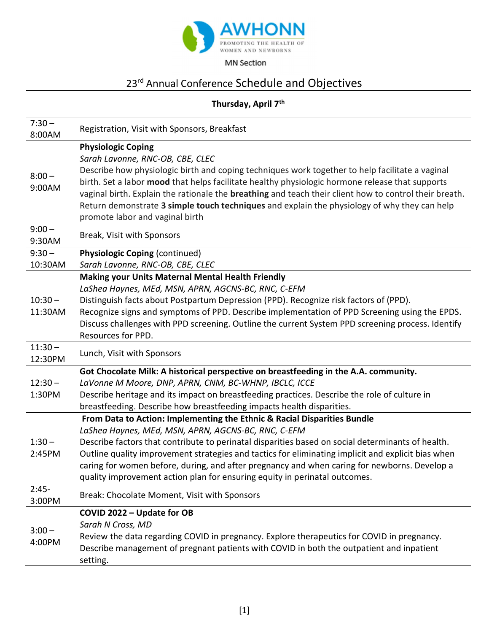

MN Section

## 23<sup>rd</sup> Annual Conference Schedule and Objectives

## Thursday, April 7<sup>th</sup>

| $7:30 -$<br>8:00AM   | Registration, Visit with Sponsors, Breakfast                                                                                                                                                                                                                                                                                                                                                                                                                                                                             |
|----------------------|--------------------------------------------------------------------------------------------------------------------------------------------------------------------------------------------------------------------------------------------------------------------------------------------------------------------------------------------------------------------------------------------------------------------------------------------------------------------------------------------------------------------------|
| $8:00 -$<br>9:00AM   | <b>Physiologic Coping</b><br>Sarah Lavonne, RNC-OB, CBE, CLEC<br>Describe how physiologic birth and coping techniques work together to help facilitate a vaginal<br>birth. Set a labor mood that helps facilitate healthy physiologic hormone release that supports<br>vaginal birth. Explain the rationale the breathing and teach their client how to control their breath.<br>Return demonstrate 3 simple touch techniques and explain the physiology of why they can help<br>promote labor and vaginal birth         |
| $9:00 -$<br>9:30AM   | Break, Visit with Sponsors                                                                                                                                                                                                                                                                                                                                                                                                                                                                                               |
| $9:30 -$<br>10:30AM  | <b>Physiologic Coping (continued)</b><br>Sarah Lavonne, RNC-OB, CBE, CLEC                                                                                                                                                                                                                                                                                                                                                                                                                                                |
| $10:30 -$<br>11:30AM | <b>Making your Units Maternal Mental Health Friendly</b><br>LaShea Haynes, MEd, MSN, APRN, AGCNS-BC, RNC, C-EFM<br>Distinguish facts about Postpartum Depression (PPD). Recognize risk factors of (PPD).<br>Recognize signs and symptoms of PPD. Describe implementation of PPD Screening using the EPDS.<br>Discuss challenges with PPD screening. Outline the current System PPD screening process. Identify<br>Resources for PPD.                                                                                     |
| $11:30 -$<br>12:30PM | Lunch, Visit with Sponsors                                                                                                                                                                                                                                                                                                                                                                                                                                                                                               |
| $12:30 -$<br>1:30PM  | Got Chocolate Milk: A historical perspective on breastfeeding in the A.A. community.<br>LaVonne M Moore, DNP, APRN, CNM, BC-WHNP, IBCLC, ICCE<br>Describe heritage and its impact on breastfeeding practices. Describe the role of culture in<br>breastfeeding. Describe how breastfeeding impacts health disparities.                                                                                                                                                                                                   |
| $1:30 -$<br>2:45PM   | From Data to Action: Implementing the Ethnic & Racial Disparities Bundle<br>LaShea Haynes, MEd, MSN, APRN, AGCNS-BC, RNC, C-EFM<br>Describe factors that contribute to perinatal disparities based on social determinants of health.<br>Outline quality improvement strategies and tactics for eliminating implicit and explicit bias when<br>caring for women before, during, and after pregnancy and when caring for newborns. Develop a<br>quality improvement action plan for ensuring equity in perinatal outcomes. |
| $2:45-$<br>3:00PM    | Break: Chocolate Moment, Visit with Sponsors                                                                                                                                                                                                                                                                                                                                                                                                                                                                             |
| $3:00 -$<br>4:00PM   | COVID 2022 - Update for OB<br>Sarah N Cross, MD<br>Review the data regarding COVID in pregnancy. Explore therapeutics for COVID in pregnancy.<br>Describe management of pregnant patients with COVID in both the outpatient and inpatient<br>setting.                                                                                                                                                                                                                                                                    |